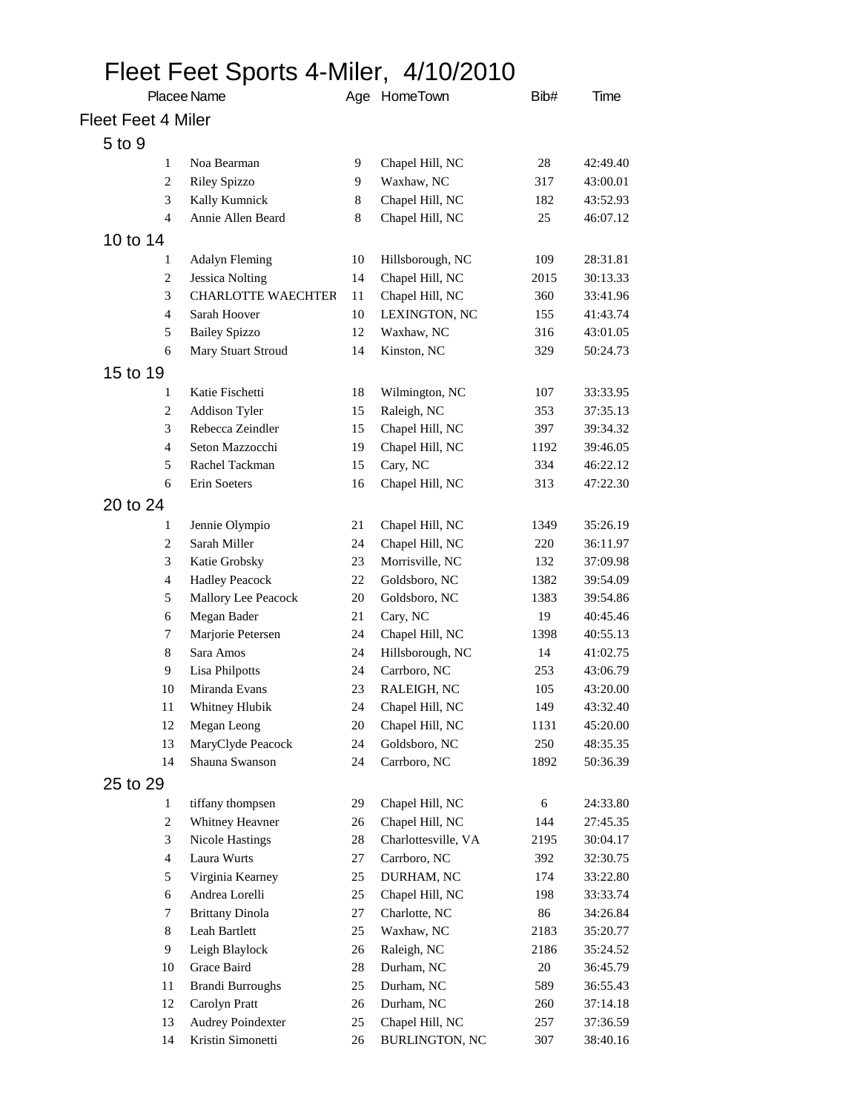## Fleet Feet Sports 4-Miler, 4/10/2010

| Placee Name        |                         |                                | Age HomeTown | Bib#                               | Time |          |
|--------------------|-------------------------|--------------------------------|--------------|------------------------------------|------|----------|
| Fleet Feet 4 Miler |                         |                                |              |                                    |      |          |
| 5 to 9             |                         |                                |              |                                    |      |          |
|                    | 1                       | Noa Bearman                    | 9            | Chapel Hill, NC                    | 28   | 42:49.40 |
|                    | 2                       | <b>Riley Spizzo</b>            | 9            | Waxhaw, NC                         | 317  | 43:00.01 |
|                    | 3                       | Kally Kumnick                  | 8            | Chapel Hill, NC                    | 182  | 43:52.93 |
|                    | 4                       | Annie Allen Beard              | 8            | Chapel Hill, NC                    | 25   | 46:07.12 |
| 10 to 14           |                         |                                |              |                                    |      |          |
|                    | 1                       | <b>Adalyn Fleming</b>          | 10           | Hillsborough, NC                   | 109  | 28:31.81 |
|                    | $\overline{c}$          | <b>Jessica Nolting</b>         | 14           | Chapel Hill, NC                    | 2015 | 30:13.33 |
|                    | 3                       | <b>CHARLOTTE WAECHTER</b>      | 11           | Chapel Hill, NC                    | 360  | 33:41.96 |
|                    | 4                       | Sarah Hoover                   | 10           | LEXINGTON, NC                      | 155  | 41:43.74 |
|                    | 5                       | <b>Bailey Spizzo</b>           | 12           | Waxhaw, NC                         | 316  | 43:01.05 |
|                    | 6                       | Mary Stuart Stroud             | 14           | Kinston, NC                        | 329  | 50:24.73 |
| 15 to 19           |                         |                                |              |                                    |      |          |
|                    | 1                       | Katie Fischetti                | 18           | Wilmington, NC                     | 107  | 33:33.95 |
|                    | $\overline{c}$          | <b>Addison Tyler</b>           | 15           | Raleigh, NC                        | 353  | 37:35.13 |
|                    | 3                       | Rebecca Zeindler               | 15           | Chapel Hill, NC                    | 397  | 39:34.32 |
|                    | 4                       | Seton Mazzocchi                | 19           | Chapel Hill, NC                    | 1192 | 39:46.05 |
|                    | 5                       | Rachel Tackman                 | 15           | Cary, NC                           | 334  | 46:22.12 |
|                    | 6                       | Erin Soeters                   | 16           | Chapel Hill, NC                    | 313  | 47:22.30 |
| 20 to 24           |                         |                                |              |                                    |      |          |
|                    | 1                       |                                | 21           |                                    | 1349 | 35:26.19 |
|                    | $\overline{c}$          | Jennie Olympio<br>Sarah Miller | 24           | Chapel Hill, NC<br>Chapel Hill, NC | 220  | 36:11.97 |
|                    | 3                       | Katie Grobsky                  | 23           | Morrisville, NC                    | 132  | 37:09.98 |
|                    | $\overline{4}$          | <b>Hadley Peacock</b>          | 22           | Goldsboro, NC                      | 1382 | 39:54.09 |
|                    | 5                       | Mallory Lee Peacock            | 20           | Goldsboro, NC                      | 1383 | 39:54.86 |
|                    | 6                       | Megan Bader                    | 21           | Cary, NC                           | 19   | 40:45.46 |
|                    | 7                       | Marjorie Petersen              | 24           | Chapel Hill, NC                    | 1398 | 40:55.13 |
|                    | 8                       | Sara Amos                      | 24           | Hillsborough, NC                   | 14   | 41:02.75 |
|                    | 9                       | Lisa Philpotts                 | 24           | Carrboro, NC                       | 253  | 43:06.79 |
|                    | 10                      | Miranda Evans                  | 23           | RALEIGH, NC                        | 105  | 43:20.00 |
|                    | 11                      | Whitney Hlubik                 | 24           | Chapel Hill, NC                    | 149  | 43:32.40 |
|                    | 12                      | Megan Leong                    | 20           | Chapel Hill, NC                    | 1131 | 45:20.00 |
|                    | 13                      | MaryClyde Peacock              | 24           | Goldsboro, NC                      | 250  | 48:35.35 |
|                    | 14                      | Shauna Swanson                 | 24           | Carrboro, NC                       | 1892 | 50:36.39 |
| 25 to 29           |                         |                                |              |                                    |      |          |
|                    | 1                       | tiffany thompsen               | 29           | Chapel Hill, NC                    | 6    | 24:33.80 |
|                    | $\overline{c}$          | Whitney Heavner                | 26           | Chapel Hill, NC                    | 144  | 27:45.35 |
|                    | 3                       | <b>Nicole Hastings</b>         | 28           | Charlottesville, VA                | 2195 | 30:04.17 |
|                    | $\overline{\mathbf{4}}$ | Laura Wurts                    | 27           | Carrboro, NC                       | 392  | 32:30.75 |
|                    | 5                       | Virginia Kearney               | 25           | DURHAM, NC                         | 174  | 33:22.80 |
|                    | 6                       | Andrea Lorelli                 | 25           | Chapel Hill, NC                    | 198  | 33:33.74 |
|                    | 7                       | <b>Brittany Dinola</b>         | 27           | Charlotte, NC                      | 86   | 34:26.84 |
|                    | $8\,$                   | Leah Bartlett                  | 25           | Waxhaw, NC                         | 2183 | 35:20.77 |
|                    | 9                       | Leigh Blaylock                 | 26           | Raleigh, NC                        | 2186 | 35:24.52 |
|                    | 10                      | Grace Baird                    | 28           | Durham, NC                         | 20   | 36:45.79 |
|                    | 11                      | <b>Brandi Burroughs</b>        | 25           | Durham, NC                         | 589  | 36:55.43 |
|                    | 12                      | Carolyn Pratt                  | 26           | Durham, NC                         | 260  | 37:14.18 |
|                    | 13                      | <b>Audrey Poindexter</b>       | 25           | Chapel Hill, NC                    | 257  | 37:36.59 |
|                    | 14                      | Kristin Simonetti              | 26           | <b>BURLINGTON, NC</b>              | 307  | 38:40.16 |
|                    |                         |                                |              |                                    |      |          |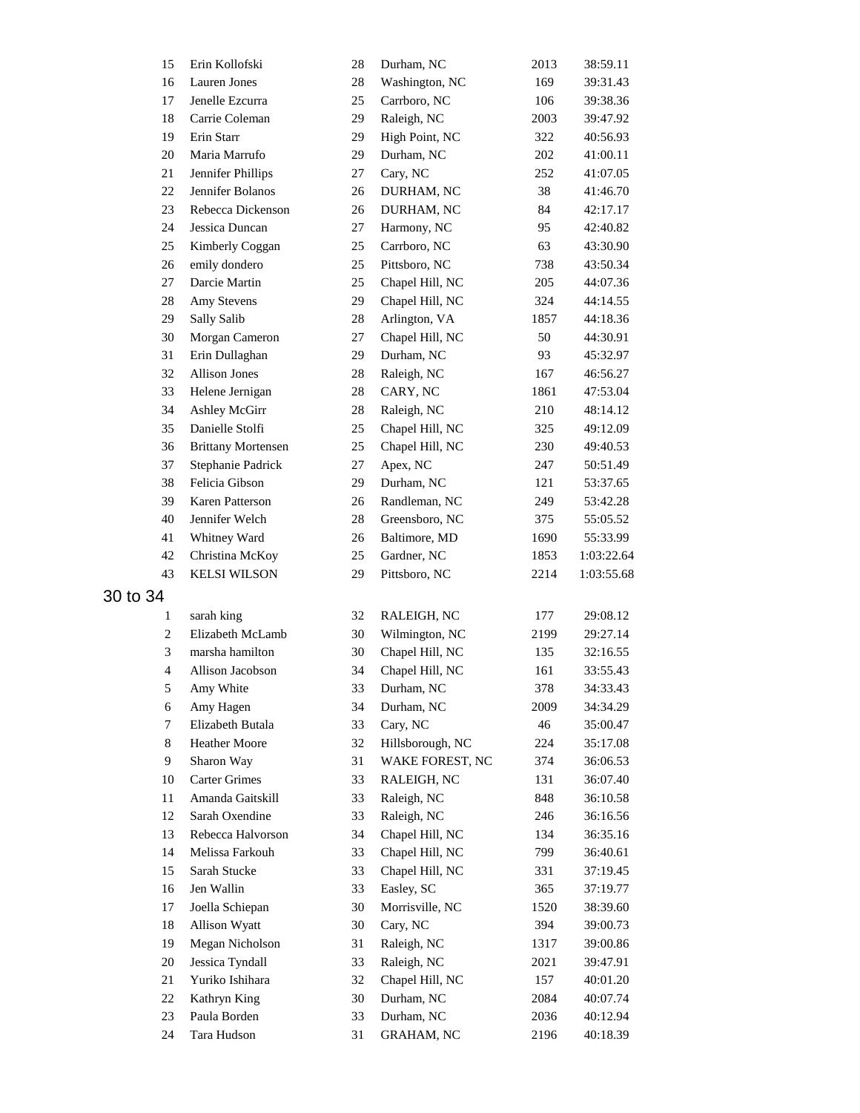| 15             | Erin Kollofski            | 28     | Durham, NC        | 2013 | 38:59.11   |
|----------------|---------------------------|--------|-------------------|------|------------|
| 16             | Lauren Jones              | 28     | Washington, NC    | 169  | 39:31.43   |
| 17             | Jenelle Ezcurra           | 25     | Carrboro, NC      | 106  | 39:38.36   |
| 18             | Carrie Coleman            | 29     | Raleigh, NC       | 2003 | 39:47.92   |
| 19             | Erin Starr                | 29     | High Point, NC    | 322  | 40:56.93   |
| 20             | Maria Marrufo             | 29     | Durham, NC        | 202  | 41:00.11   |
| 21             | Jennifer Phillips         | 27     | Cary, NC          | 252  | 41:07.05   |
| 22             | Jennifer Bolanos          | 26     | DURHAM, NC        | 38   | 41:46.70   |
| 23             | Rebecca Dickenson         | 26     | DURHAM, NC        | 84   | 42:17.17   |
| 24             | Jessica Duncan            | 27     | Harmony, NC       | 95   | 42:40.82   |
| 25             | Kimberly Coggan           | 25     | Carrboro, NC      | 63   | 43:30.90   |
| 26             | emily dondero             | 25     | Pittsboro, NC     | 738  | 43:50.34   |
| 27             | Darcie Martin             | 25     | Chapel Hill, NC   | 205  | 44:07.36   |
| 28             | Amy Stevens               | 29     | Chapel Hill, NC   | 324  | 44:14.55   |
| 29             | Sally Salib               | 28     | Arlington, VA     | 1857 | 44:18.36   |
| 30             | Morgan Cameron            | 27     | Chapel Hill, NC   | 50   | 44:30.91   |
| 31             | Erin Dullaghan            | 29     | Durham, NC        | 93   | 45:32.97   |
| 32             | <b>Allison Jones</b>      | 28     | Raleigh, NC       | 167  | 46:56.27   |
| 33             | Helene Jernigan           | 28     | CARY, NC          | 1861 | 47:53.04   |
| 34             | Ashley McGirr             | $28\,$ | Raleigh, NC       | 210  | 48:14.12   |
| 35             | Danielle Stolfi           | 25     | Chapel Hill, NC   | 325  | 49:12.09   |
| 36             | <b>Brittany Mortensen</b> | 25     | Chapel Hill, NC   | 230  | 49:40.53   |
| 37             | Stephanie Padrick         | 27     | Apex, NC          | 247  | 50:51.49   |
| 38             | Felicia Gibson            | 29     | Durham, NC        | 121  | 53:37.65   |
| 39             | Karen Patterson           | 26     | Randleman, NC     | 249  | 53:42.28   |
| 40             | Jennifer Welch            | $28\,$ | Greensboro, NC    | 375  | 55:05.52   |
| 41             | Whitney Ward              | 26     | Baltimore, MD     | 1690 | 55:33.99   |
| 42             | Christina McKoy           | 25     | Gardner, NC       | 1853 | 1:03:22.64 |
| 43             | <b>KELSI WILSON</b>       | 29     | Pittsboro, NC     | 2214 | 1:03:55.68 |
| 30 to 34       |                           |        |                   |      |            |
|                |                           |        |                   |      |            |
| 1              | sarah king                | 32     | RALEIGH, NC       | 177  | 29:08.12   |
| $\overline{c}$ | Elizabeth McLamb          | 30     | Wilmington, NC    | 2199 | 29:27.14   |
| 3              | marsha hamilton           | 30     | Chapel Hill, NC   | 135  | 32:16.55   |
| $\overline{4}$ | Allison Jacobson          | 34     | Chapel Hill, NC   | 161  | 33:55.43   |
| 5              | Amy White                 | 33     | Durham, NC        | 378  | 34:33.43   |
| 6              | Amy Hagen                 | 34     | Durham, NC        | 2009 | 34:34.29   |
| $\tau$         | Elizabeth Butala          | 33     | Cary, NC          | 46   | 35:00.47   |
| 8              | Heather Moore             | 32     | Hillsborough, NC  | 224  | 35:17.08   |
| 9              | Sharon Way                | 31     | WAKE FOREST, NC   | 374  | 36:06.53   |
| 10             | <b>Carter Grimes</b>      | 33     | RALEIGH, NC       | 131  | 36:07.40   |
| 11             | Amanda Gaitskill          | 33     | Raleigh, NC       | 848  | 36:10.58   |
| 12             | Sarah Oxendine            | 33     | Raleigh, NC       | 246  | 36:16.56   |
| 13             | Rebecca Halvorson         | 34     | Chapel Hill, NC   | 134  | 36:35.16   |
| 14             | Melissa Farkouh           | 33     | Chapel Hill, NC   | 799  | 36:40.61   |
| 15             | Sarah Stucke              | 33     | Chapel Hill, NC   | 331  | 37:19.45   |
| 16             | Jen Wallin                | 33     | Easley, SC        | 365  | 37:19.77   |
| 17             | Joella Schiepan           | 30     | Morrisville, NC   | 1520 | 38:39.60   |
| 18             | Allison Wyatt             | 30     | Cary, NC          | 394  | 39:00.73   |
| 19             | Megan Nicholson           | 31     | Raleigh, NC       | 1317 | 39:00.86   |
| 20             | Jessica Tyndall           | 33     | Raleigh, NC       | 2021 | 39:47.91   |
| 21             | Yuriko Ishihara           | 32     | Chapel Hill, NC   | 157  | 40:01.20   |
| 22             | Kathryn King              | 30     | Durham, NC        | 2084 | 40:07.74   |
| 23             | Paula Borden              | 33     | Durham, NC        | 2036 | 40:12.94   |
| 24             | Tara Hudson               | 31     | <b>GRAHAM, NC</b> | 2196 | 40:18.39   |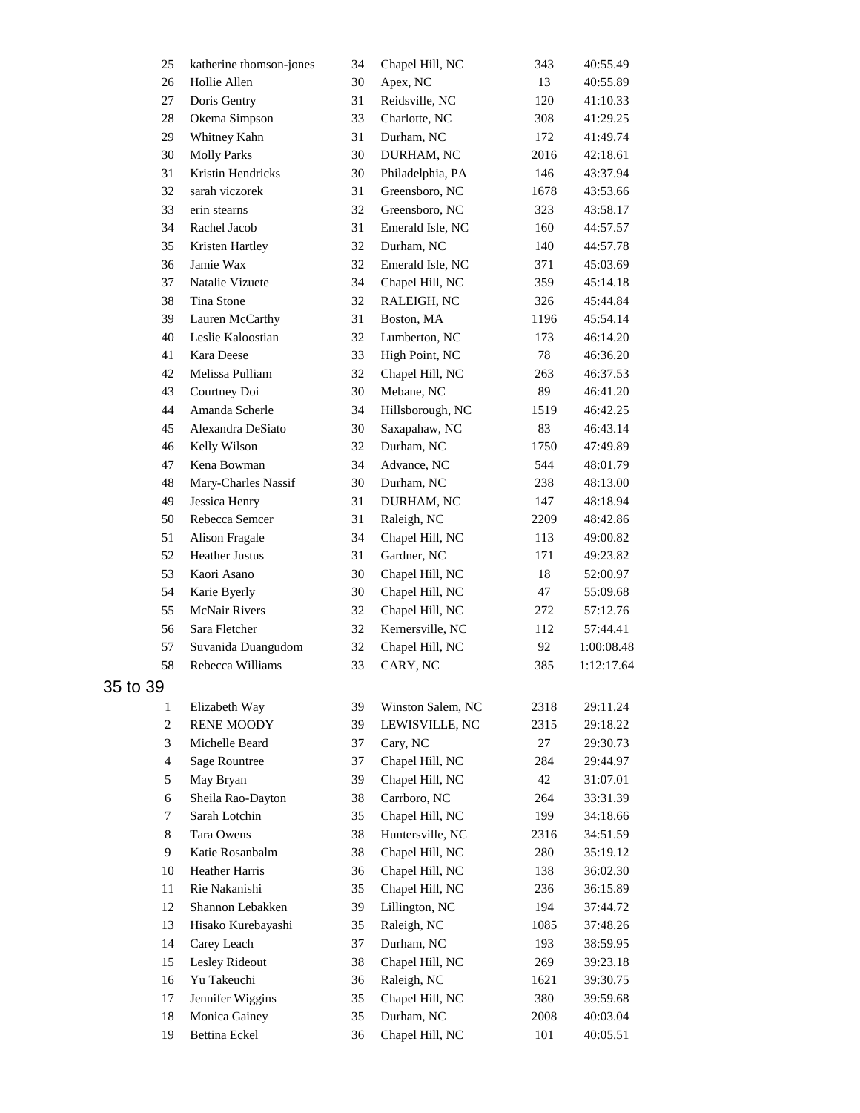| 25             | katherine thomson-jones                 | 34 | Chapel Hill, NC   | 343  | 40:55.49   |
|----------------|-----------------------------------------|----|-------------------|------|------------|
| 26             | Hollie Allen                            | 30 | Apex, NC          | 13   | 40:55.89   |
| 27             | Doris Gentry                            | 31 | Reidsville, NC    | 120  | 41:10.33   |
| $28\,$         | Okema Simpson                           | 33 | Charlotte, NC     | 308  | 41:29.25   |
| 29             | Whitney Kahn                            | 31 | Durham, NC        | 172  | 41:49.74   |
| 30             | <b>Molly Parks</b>                      | 30 | DURHAM, NC        | 2016 | 42:18.61   |
| 31             | Kristin Hendricks                       | 30 | Philadelphia, PA  | 146  | 43:37.94   |
| 32             | sarah viczorek                          | 31 | Greensboro, NC    | 1678 | 43:53.66   |
| 33             | erin stearns                            | 32 | Greensboro, NC    | 323  | 43:58.17   |
| 34             | Rachel Jacob                            | 31 | Emerald Isle, NC  | 160  | 44:57.57   |
| 35             | Kristen Hartley                         | 32 | Durham, NC        | 140  | 44:57.78   |
| 36             | Jamie Wax                               | 32 | Emerald Isle, NC  | 371  | 45:03.69   |
| 37             | Natalie Vizuete                         | 34 | Chapel Hill, NC   | 359  | 45:14.18   |
| 38             | Tina Stone                              | 32 | RALEIGH, NC       | 326  | 45:44.84   |
| 39             | Lauren McCarthy                         | 31 | Boston, MA        | 1196 | 45:54.14   |
| 40             | Leslie Kaloostian                       | 32 | Lumberton, NC     | 173  | 46:14.20   |
| 41             | Kara Deese                              | 33 | High Point, NC    | 78   | 46:36.20   |
| 42             | Melissa Pulliam                         | 32 | Chapel Hill, NC   | 263  | 46:37.53   |
| 43             | Courtney Doi                            | 30 | Mebane, NC        | 89   | 46:41.20   |
| 44             | Amanda Scherle                          | 34 | Hillsborough, NC  | 1519 | 46:42.25   |
| 45             | Alexandra DeSiato                       | 30 | Saxapahaw, NC     | 83   | 46:43.14   |
| 46             | Kelly Wilson                            | 32 | Durham, NC        | 1750 | 47:49.89   |
| 47             | Kena Bowman                             | 34 | Advance, NC       | 544  | 48:01.79   |
| 48             | Mary-Charles Nassif                     | 30 | Durham, NC        | 238  | 48:13.00   |
| 49             | Jessica Henry                           | 31 | DURHAM, NC        | 147  | 48:18.94   |
| 50             | Rebecca Semcer                          | 31 | Raleigh, NC       |      |            |
| 51             |                                         | 34 | Chapel Hill, NC   | 2209 | 48:42.86   |
| 52             | Alison Fragale<br><b>Heather Justus</b> |    | Gardner, NC       | 113  | 49:00.82   |
| 53             |                                         | 31 |                   | 171  | 49:23.82   |
|                | Kaori Asano                             | 30 | Chapel Hill, NC   | 18   | 52:00.97   |
| 54             | Karie Byerly                            | 30 | Chapel Hill, NC   | 47   | 55:09.68   |
| 55             | <b>McNair Rivers</b>                    | 32 | Chapel Hill, NC   | 272  | 57:12.76   |
| 56             | Sara Fletcher                           | 32 | Kernersville, NC  | 112  | 57:44.41   |
| 57             | Suvanida Duangudom                      | 32 | Chapel Hill, NC   | 92   | 1:00:08.48 |
| 58             | Rebecca Williams                        | 33 | CARY, NC          | 385  | 1:12:17.64 |
| 35 to 39       |                                         |    |                   |      |            |
| 1              | Elizabeth Way                           | 39 | Winston Salem, NC | 2318 | 29:11.24   |
| $\sqrt{2}$     | <b>RENE MOODY</b>                       | 39 | LEWISVILLE, NC    | 2315 | 29:18.22   |
| 3              | Michelle Beard                          | 37 | Cary, NC          | 27   | 29:30.73   |
| $\overline{4}$ | <b>Sage Rountree</b>                    | 37 | Chapel Hill, NC   | 284  | 29:44.97   |
| 5              | May Bryan                               | 39 | Chapel Hill, NC   | 42   | 31:07.01   |
| 6              | Sheila Rao-Dayton                       | 38 | Carrboro, NC      | 264  | 33:31.39   |
| $\tau$         | Sarah Lotchin                           | 35 | Chapel Hill, NC   | 199  | 34:18.66   |
| 8              | Tara Owens                              | 38 | Huntersville, NC  | 2316 | 34:51.59   |
| 9              | Katie Rosanbalm                         | 38 | Chapel Hill, NC   | 280  | 35:19.12   |
| 10             | Heather Harris                          | 36 | Chapel Hill, NC   | 138  | 36:02.30   |
| 11             | Rie Nakanishi                           | 35 | Chapel Hill, NC   | 236  | 36:15.89   |
| 12             | Shannon Lebakken                        | 39 | Lillington, NC    | 194  | 37:44.72   |
| 13             | Hisako Kurebayashi                      | 35 | Raleigh, NC       | 1085 | 37:48.26   |
| 14             | Carey Leach                             | 37 | Durham, NC        | 193  | 38:59.95   |
| 15             | Lesley Rideout                          | 38 | Chapel Hill, NC   | 269  | 39:23.18   |
| 16             | Yu Takeuchi                             | 36 | Raleigh, NC       | 1621 | 39:30.75   |
| 17             | Jennifer Wiggins                        | 35 | Chapel Hill, NC   | 380  | 39:59.68   |
| 18             | Monica Gainey                           | 35 | Durham, NC        | 2008 | 40:03.04   |
| 19             | Bettina Eckel                           | 36 | Chapel Hill, NC   | 101  | 40:05.51   |
|                |                                         |    |                   |      |            |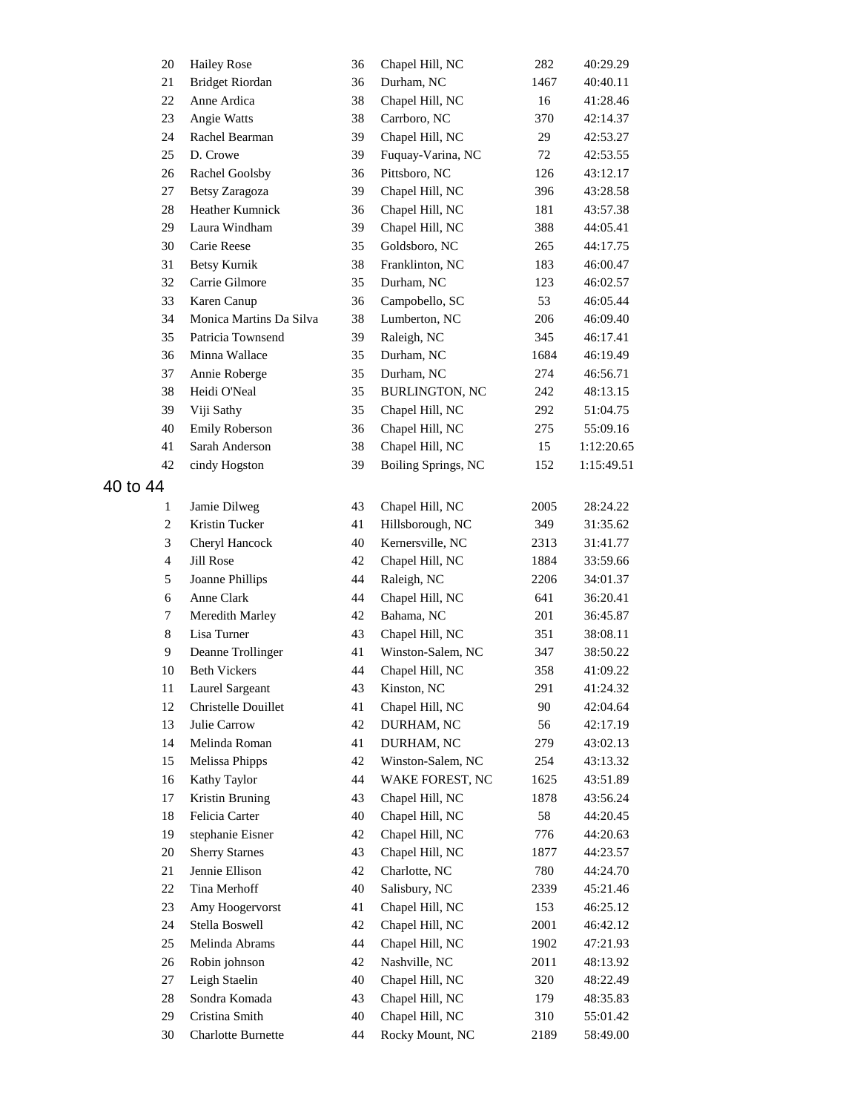| 20             | <b>Hailey Rose</b>        | 36 | Chapel Hill, NC       | 282  | 40:29.29   |
|----------------|---------------------------|----|-----------------------|------|------------|
| $21\,$         | <b>Bridget Riordan</b>    | 36 | Durham, NC            | 1467 | 40:40.11   |
| 22             | Anne Ardica               | 38 | Chapel Hill, NC       | 16   | 41:28.46   |
| 23             | Angie Watts               | 38 | Carrboro, NC          | 370  | 42:14.37   |
| 24             | Rachel Bearman            | 39 | Chapel Hill, NC       | 29   | 42:53.27   |
| 25             | D. Crowe                  | 39 | Fuquay-Varina, NC     | 72   | 42:53.55   |
| 26             | Rachel Goolsby            | 36 | Pittsboro, NC         | 126  | 43:12.17   |
| 27             | Betsy Zaragoza            | 39 | Chapel Hill, NC       | 396  | 43:28.58   |
| 28             | Heather Kumnick           | 36 | Chapel Hill, NC       | 181  | 43:57.38   |
| 29             | Laura Windham             | 39 | Chapel Hill, NC       | 388  | 44:05.41   |
| 30             | Carie Reese               | 35 | Goldsboro, NC         | 265  | 44:17.75   |
| 31             | <b>Betsy Kurnik</b>       | 38 | Franklinton, NC       | 183  | 46:00.47   |
| 32             | Carrie Gilmore            | 35 | Durham, NC            | 123  | 46:02.57   |
| 33             | Karen Canup               | 36 | Campobello, SC        | 53   | 46:05.44   |
| 34             | Monica Martins Da Silva   | 38 | Lumberton, NC         | 206  | 46:09.40   |
| 35             | Patricia Townsend         | 39 | Raleigh, NC           | 345  | 46:17.41   |
| 36             | Minna Wallace             | 35 | Durham, NC            | 1684 | 46:19.49   |
| 37             | Annie Roberge             | 35 | Durham, NC            | 274  | 46:56.71   |
| 38             | Heidi O'Neal              | 35 | <b>BURLINGTON, NC</b> | 242  | 48:13.15   |
| 39             | Viji Sathy                | 35 | Chapel Hill, NC       | 292  | 51:04.75   |
| 40             | Emily Roberson            | 36 | Chapel Hill, NC       | 275  | 55:09.16   |
| 41             | Sarah Anderson            | 38 | Chapel Hill, NC       | 15   | 1:12:20.65 |
| 42             | cindy Hogston             | 39 | Boiling Springs, NC   | 152  | 1:15:49.51 |
|                |                           |    |                       |      |            |
| 40 to 44       |                           |    |                       |      |            |
| 1              | Jamie Dilweg              | 43 | Chapel Hill, NC       | 2005 | 28:24.22   |
| $\overline{c}$ | Kristin Tucker            | 41 | Hillsborough, NC      | 349  | 31:35.62   |
| 3              | Cheryl Hancock            | 40 | Kernersville, NC      | 2313 | 31:41.77   |
| $\overline{4}$ | <b>Jill Rose</b>          | 42 | Chapel Hill, NC       | 1884 | 33:59.66   |
| 5              | Joanne Phillips           | 44 | Raleigh, NC           | 2206 | 34:01.37   |
| 6              | Anne Clark                | 44 | Chapel Hill, NC       | 641  | 36:20.41   |
| 7              | Meredith Marley           | 42 | Bahama, NC            | 201  | 36:45.87   |
| $8\,$          | Lisa Turner               | 43 | Chapel Hill, NC       | 351  | 38:08.11   |
| 9              | Deanne Trollinger         | 41 | Winston-Salem, NC     | 347  | 38:50.22   |
| 10             | <b>Beth Vickers</b>       | 44 | Chapel Hill, NC       | 358  | 41:09.22   |
| 11             | Laurel Sargeant           | 43 | Kinston, NC           | 291  | 41:24.32   |
| 12             | Christelle Douillet       | 41 | Chapel Hill, NC       | 90   | 42:04.64   |
| 13             | Julie Carrow              | 42 | DURHAM, NC            | 56   | 42:17.19   |
| 14             | Melinda Roman             | 41 | DURHAM, NC            | 279  | 43:02.13   |
| 15             | Melissa Phipps            | 42 | Winston-Salem, NC     | 254  | 43:13.32   |
| 16             | Kathy Taylor              | 44 | WAKE FOREST, NC       | 1625 | 43:51.89   |
| 17             | Kristin Bruning           | 43 | Chapel Hill, NC       | 1878 | 43:56.24   |
| 18             | Felicia Carter            | 40 | Chapel Hill, NC       | 58   | 44:20.45   |
| 19             | stephanie Eisner          | 42 | Chapel Hill, NC       | 776  | 44:20.63   |
| 20             | <b>Sherry Starnes</b>     | 43 | Chapel Hill, NC       | 1877 | 44:23.57   |
| 21             | Jennie Ellison            | 42 | Charlotte, NC         | 780  | 44:24.70   |
| 22             | Tina Merhoff              | 40 | Salisbury, NC         | 2339 | 45:21.46   |
| 23             | Amy Hoogervorst           | 41 | Chapel Hill, NC       | 153  | 46:25.12   |
| 24             | Stella Boswell            | 42 | Chapel Hill, NC       | 2001 | 46:42.12   |
| 25             | Melinda Abrams            | 44 | Chapel Hill, NC       | 1902 | 47:21.93   |
| 26             | Robin johnson             | 42 | Nashville, NC         | 2011 | 48:13.92   |
| 27             | Leigh Staelin             | 40 | Chapel Hill, NC       | 320  | 48:22.49   |
| 28             | Sondra Komada             | 43 | Chapel Hill, NC       | 179  | 48:35.83   |
| 29             | Cristina Smith            | 40 | Chapel Hill, NC       | 310  | 55:01.42   |
| 30             | <b>Charlotte Burnette</b> | 44 | Rocky Mount, NC       | 2189 | 58:49.00   |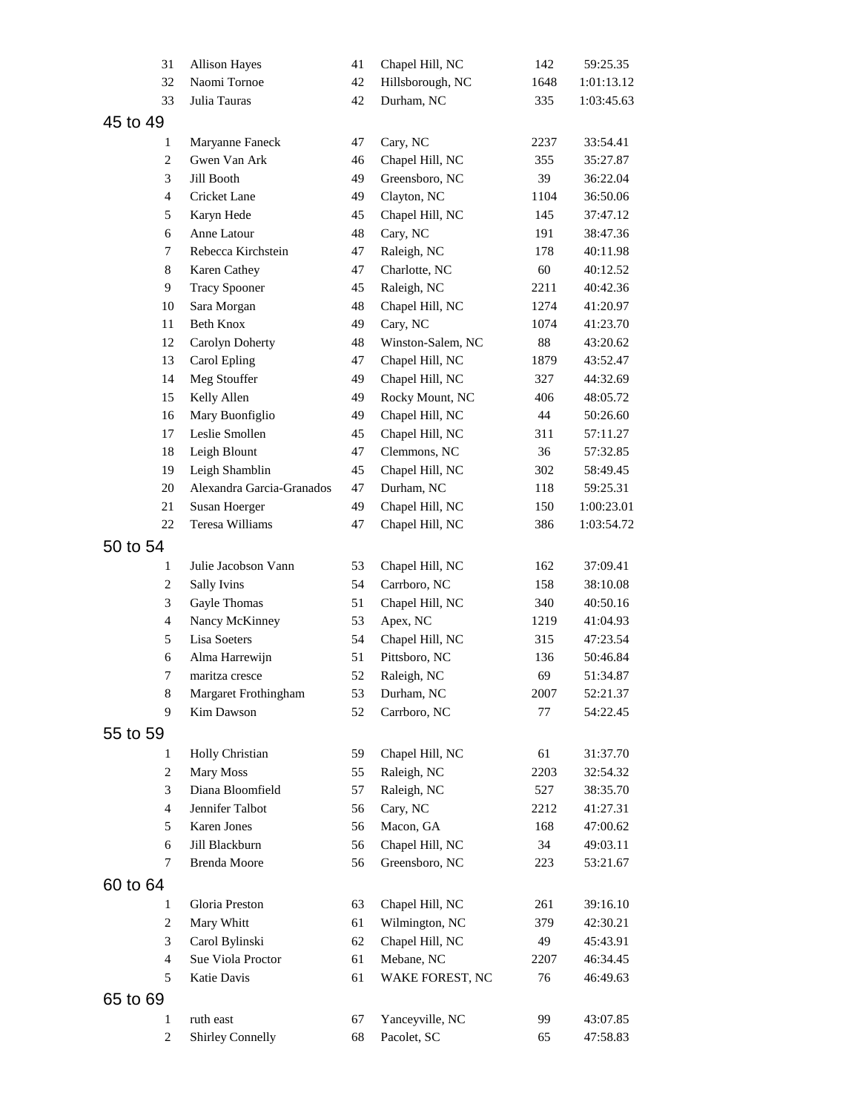| 31                  | <b>Allison Hayes</b>               | 41       | Chapel Hill, NC             | 142         | 59:25.35             |
|---------------------|------------------------------------|----------|-----------------------------|-------------|----------------------|
| 32                  | Naomi Tornoe                       | 42       | Hillsborough, NC            | 1648        | 1:01:13.12           |
| 33                  | Julia Tauras                       | 42       | Durham, NC                  | 335         | 1:03:45.63           |
| 45 to 49            |                                    |          |                             |             |                      |
| 1                   | Maryanne Faneck                    | 47       | Cary, NC                    | 2237        | 33:54.41             |
| $\overline{c}$      | Gwen Van Ark                       | 46       | Chapel Hill, NC             | 355         | 35:27.87             |
| 3                   | Jill Booth                         | 49       | Greensboro, NC              | 39          | 36:22.04             |
| $\overline{4}$      | Cricket Lane                       | 49       | Clayton, NC                 | 1104        | 36:50.06             |
| 5                   | Karyn Hede                         | 45       | Chapel Hill, NC             | 145         | 37:47.12             |
| 6                   | Anne Latour                        | 48       | Cary, NC                    | 191         | 38:47.36             |
| $\tau$              | Rebecca Kirchstein                 | 47       | Raleigh, NC                 | 178         | 40:11.98             |
| 8                   | Karen Cathey                       | 47       | Charlotte, NC               | 60          | 40:12.52             |
| 9                   | <b>Tracy Spooner</b>               | 45       | Raleigh, NC                 | 2211        | 40:42.36             |
| 10                  | Sara Morgan                        | 48       | Chapel Hill, NC             | 1274        | 41:20.97             |
| 11                  | Beth Knox                          | 49       | Cary, NC                    | 1074        | 41:23.70             |
| 12                  | Carolyn Doherty                    | 48       | Winston-Salem, NC           | 88          | 43:20.62             |
| 13                  | Carol Epling                       | 47       | Chapel Hill, NC             | 1879        | 43:52.47             |
| 14                  | Meg Stouffer                       | 49       | Chapel Hill, NC             | 327         | 44:32.69             |
| 15                  | Kelly Allen                        | 49       | Rocky Mount, NC             | 406         | 48:05.72             |
| 16                  | Mary Buonfiglio                    | 49       | Chapel Hill, NC             | 44          | 50:26.60             |
| 17                  | Leslie Smollen                     | 45       | Chapel Hill, NC             | 311         | 57:11.27             |
| 18                  | Leigh Blount                       | 47       | Clemmons, NC                | 36          | 57:32.85             |
| 19                  | Leigh Shamblin                     | 45       | Chapel Hill, NC             | 302         | 58:49.45             |
| 20                  | Alexandra Garcia-Granados          | 47       | Durham, NC                  | 118         | 59:25.31             |
| 21                  | Susan Hoerger                      | 49       | Chapel Hill, NC             | 150         | 1:00:23.01           |
| 22                  | Teresa Williams                    | 47       | Chapel Hill, NC             | 386         | 1:03:54.72           |
| 50 to 54            |                                    |          |                             |             |                      |
|                     |                                    |          |                             |             |                      |
| 1                   | Julie Jacobson Vann                | 53<br>54 | Chapel Hill, NC             | 162         | 37:09.41             |
| $\overline{c}$<br>3 | <b>Sally Ivins</b>                 | 51       | Carrboro, NC                | 158         | 38:10.08<br>40:50.16 |
| $\overline{4}$      | Gayle Thomas                       | 53       | Chapel Hill, NC             | 340<br>1219 | 41:04.93             |
| 5                   | Nancy McKinney<br>Lisa Soeters     | 54       | Apex, NC<br>Chapel Hill, NC | 315         | 47:23.54             |
| 6                   | Alma Harrewijn                     | 51       | Pittsboro, NC               | 136         | 50:46.84             |
| 7                   | maritza cresce                     | 52       | Raleigh, NC                 | 69          | 51:34.87             |
|                     |                                    |          |                             | 2007        |                      |
| 8<br>9              | Margaret Frothingham<br>Kim Dawson | 53<br>52 | Durham, NC<br>Carrboro, NC  | 77          | 52:21.37<br>54:22.45 |
|                     |                                    |          |                             |             |                      |
| 55 to 59            |                                    |          |                             |             |                      |
| 1                   | Holly Christian                    | 59       | Chapel Hill, NC             | 61          | 31:37.70             |
| $\overline{c}$      | Mary Moss                          | 55       | Raleigh, NC                 | 2203        | 32:54.32             |
| 3                   | Diana Bloomfield                   | 57       | Raleigh, NC                 | 527         | 38:35.70             |
| $\overline{4}$      | Jennifer Talbot                    | 56       | Cary, NC                    | 2212        | 41:27.31             |
| 5                   | Karen Jones                        | 56       | Macon, GA                   | 168         | 47:00.62             |
| 6                   | Jill Blackburn                     | 56       | Chapel Hill, NC             | 34          | 49:03.11             |
| 7                   | Brenda Moore                       | 56       | Greensboro, NC              | 223         | 53:21.67             |
| 60 to 64            |                                    |          |                             |             |                      |
| 1                   | Gloria Preston                     | 63       | Chapel Hill, NC             | 261         | 39:16.10             |
| $\overline{c}$      | Mary Whitt                         | 61       | Wilmington, NC              | 379         | 42:30.21             |
| 3                   | Carol Bylinski                     | 62       | Chapel Hill, NC             | 49          | 45:43.91             |
| $\overline{4}$      | Sue Viola Proctor                  | 61       | Mebane, NC                  | 2207        | 46:34.45             |
| 5                   | Katie Davis                        | 61       | WAKE FOREST, NC             | 76          | 46:49.63             |
| 65 to 69            |                                    |          |                             |             |                      |
| $\mathbf{1}$        | ruth east                          | 67       | Yanceyville, NC             | 99          | 43:07.85             |
| $\overline{c}$      | <b>Shirley Connelly</b>            | 68       | Pacolet, SC                 | 65          | 47:58.83             |
|                     |                                    |          |                             |             |                      |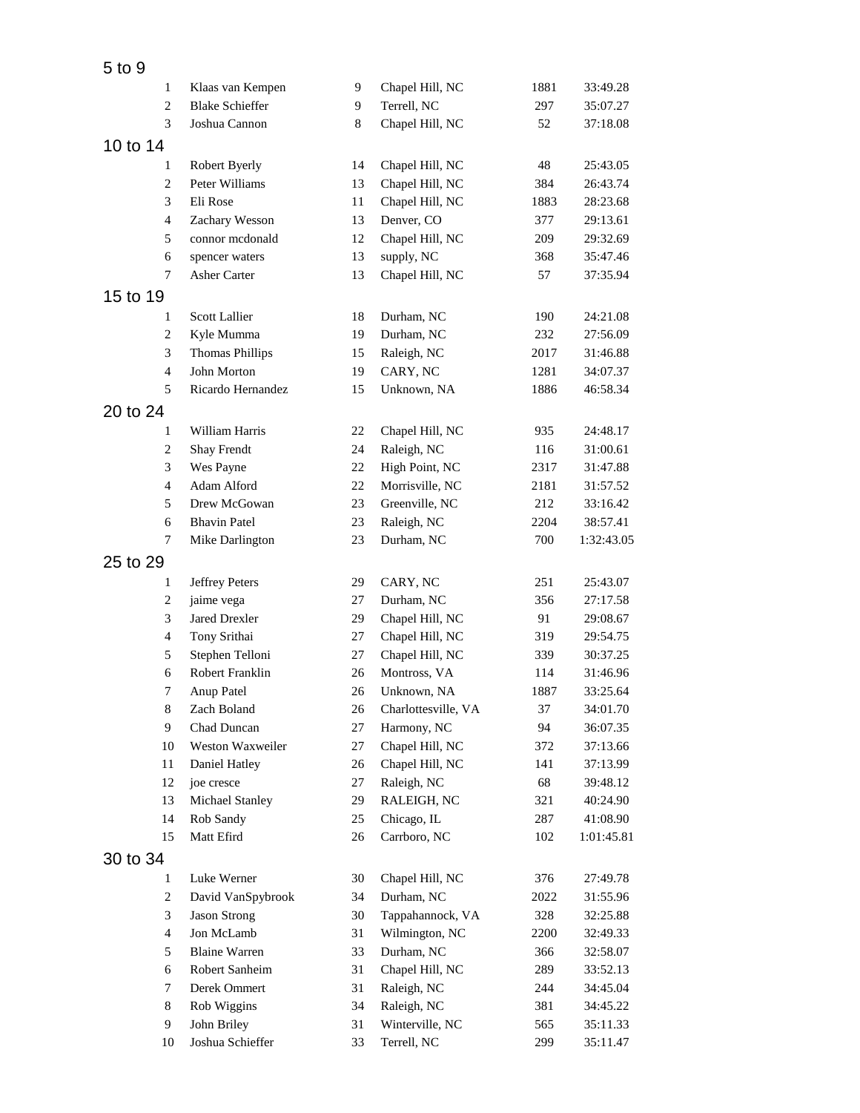| 5 to 9   |                |                        |    |                     |      |            |
|----------|----------------|------------------------|----|---------------------|------|------------|
|          | 1              | Klaas van Kempen       | 9  | Chapel Hill, NC     | 1881 | 33:49.28   |
|          | $\overline{c}$ | <b>Blake Schieffer</b> | 9  | Terrell, NC         | 297  | 35:07.27   |
|          | 3              | Joshua Cannon          | 8  | Chapel Hill, NC     | 52   | 37:18.08   |
| 10 to 14 |                |                        |    |                     |      |            |
|          | 1              | Robert Byerly          | 14 | Chapel Hill, NC     | 48   | 25:43.05   |
|          | $\overline{c}$ | Peter Williams         | 13 | Chapel Hill, NC     | 384  | 26:43.74   |
|          | 3              | Eli Rose               | 11 | Chapel Hill, NC     | 1883 | 28:23.68   |
|          | $\overline{4}$ | Zachary Wesson         | 13 | Denver, CO          | 377  | 29:13.61   |
|          | 5              | connor mcdonald        | 12 | Chapel Hill, NC     | 209  | 29:32.69   |
|          | 6              | spencer waters         | 13 | supply, NC          | 368  | 35:47.46   |
|          | 7              | Asher Carter           | 13 | Chapel Hill, NC     | 57   | 37:35.94   |
| 15 to 19 |                |                        |    |                     |      |            |
|          | $\mathbf{1}$   | Scott Lallier          | 18 | Durham, NC          | 190  | 24:21.08   |
|          | $\overline{c}$ | Kyle Mumma             | 19 | Durham, NC          | 232  | 27:56.09   |
|          | 3              | <b>Thomas Phillips</b> | 15 | Raleigh, NC         | 2017 | 31:46.88   |
|          | 4              | John Morton            | 19 | CARY, NC            | 1281 | 34:07.37   |
|          | 5              | Ricardo Hernandez      | 15 | Unknown, NA         | 1886 | 46:58.34   |
| 20 to 24 |                |                        |    |                     |      |            |
|          | 1              | William Harris         | 22 | Chapel Hill, NC     | 935  | 24:48.17   |
|          | $\overline{c}$ | Shay Frendt            | 24 | Raleigh, NC         | 116  | 31:00.61   |
|          | 3              | Wes Payne              | 22 | High Point, NC      | 2317 | 31:47.88   |
|          | $\overline{4}$ | Adam Alford            | 22 | Morrisville, NC     | 2181 | 31:57.52   |
|          | 5              | Drew McGowan           | 23 | Greenville, NC      | 212  | 33:16.42   |
|          | 6              | <b>Bhavin Patel</b>    | 23 | Raleigh, NC         | 2204 | 38:57.41   |
|          | 7              | Mike Darlington        | 23 | Durham, NC          | 700  | 1:32:43.05 |
|          |                |                        |    |                     |      |            |
| 25 to 29 |                |                        |    |                     |      |            |
|          | 1              | <b>Jeffrey Peters</b>  | 29 | CARY, NC            | 251  | 25:43.07   |
|          | $\overline{c}$ | jaime vega             | 27 | Durham, NC          | 356  | 27:17.58   |
|          | 3              | <b>Jared Drexler</b>   | 29 | Chapel Hill, NC     | 91   | 29:08.67   |
|          | 4              | Tony Srithai           | 27 | Chapel Hill, NC     | 319  | 29:54.75   |
|          | 5              | Stephen Telloni        | 27 | Chapel Hill, NC     | 339  | 30:37.25   |
|          | 6              | Robert Franklin        | 26 | Montross, VA        | 114  | 31:46.96   |
|          | 7              | Anup Patel             | 26 | Unknown, NA         | 1887 | 33:25.64   |
|          | 8              | Zach Boland            | 26 | Charlottesville, VA | 37   | 34:01.70   |
|          | 9              | Chad Duncan            | 27 | Harmony, NC         | 94   | 36:07.35   |
|          | 10             | Weston Waxweiler       | 27 | Chapel Hill, NC     | 372  | 37:13.66   |
|          | 11             | Daniel Hatley          | 26 | Chapel Hill, NC     | 141  | 37:13.99   |
|          | 12             | joe cresce             | 27 | Raleigh, NC         | 68   | 39:48.12   |
|          | 13             | Michael Stanley        | 29 | RALEIGH, NC         | 321  | 40:24.90   |
|          | 14             | Rob Sandy              | 25 | Chicago, IL         | 287  | 41:08.90   |
|          | 15             | Matt Efird             | 26 | Carrboro, NC        | 102  | 1:01:45.81 |
| 30 to 34 |                |                        |    |                     |      |            |
|          | 1              | Luke Werner            | 30 | Chapel Hill, NC     | 376  | 27:49.78   |
|          | $\overline{c}$ | David VanSpybrook      | 34 | Durham, NC          | 2022 | 31:55.96   |
|          | 3              | Jason Strong           | 30 | Tappahannock, VA    | 328  | 32:25.88   |
|          | $\overline{4}$ | Jon McLamb             | 31 | Wilmington, NC      | 2200 | 32:49.33   |
|          | 5              | <b>Blaine Warren</b>   | 33 | Durham, NC          | 366  | 32:58.07   |
|          | 6              | Robert Sanheim         | 31 | Chapel Hill, NC     | 289  | 33:52.13   |
|          | 7              | Derek Ommert           | 31 | Raleigh, NC         | 244  | 34:45.04   |
|          | 8              | Rob Wiggins            | 34 | Raleigh, NC         | 381  | 34:45.22   |
|          | 9              | John Briley            | 31 | Winterville, NC     | 565  | 35:11.33   |
|          | 10             | Joshua Schieffer       | 33 | Terrell, NC         | 299  | 35:11.47   |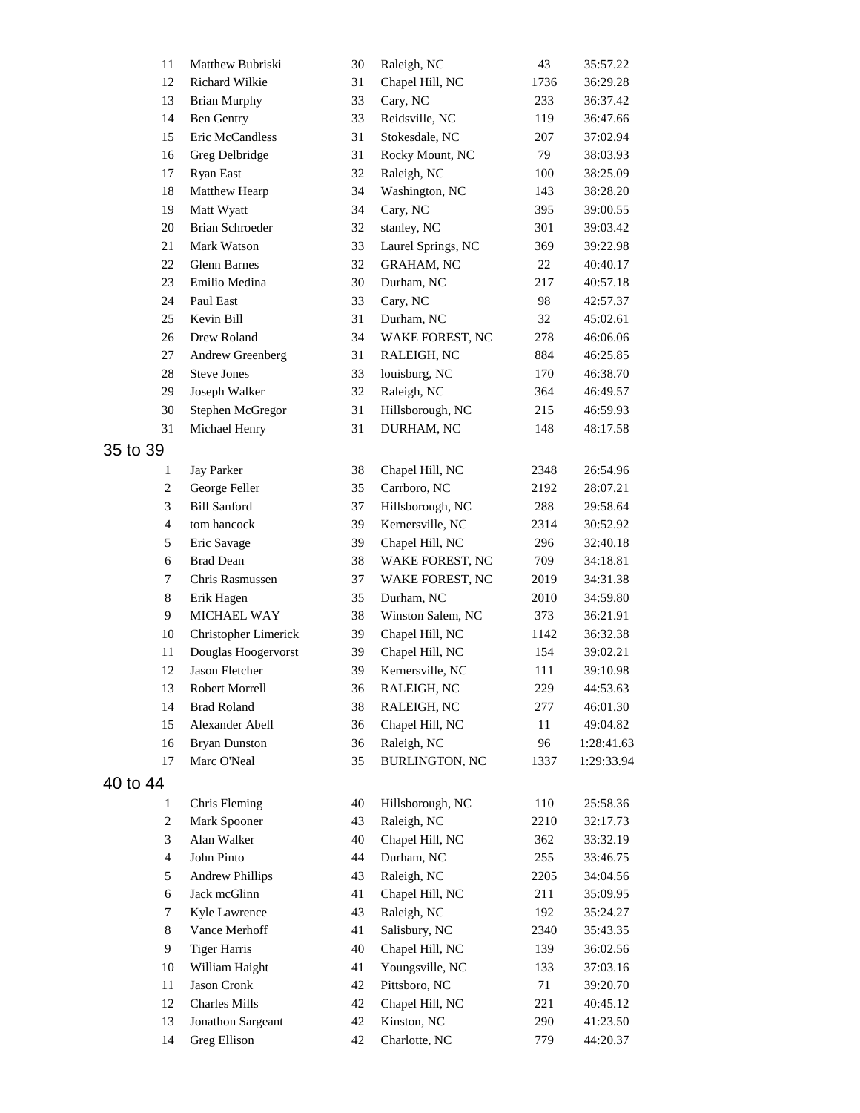| 11             | Matthew Bubriski                      | 30 | Raleigh, NC           | 43   | 35:57.22                 |
|----------------|---------------------------------------|----|-----------------------|------|--------------------------|
| 12             | Richard Wilkie                        | 31 | Chapel Hill, NC       | 1736 | 36:29.28                 |
| 13             | <b>Brian Murphy</b>                   | 33 | Cary, NC              | 233  | 36:37.42                 |
| 14             | <b>Ben Gentry</b>                     | 33 | Reidsville, NC        | 119  | 36:47.66                 |
| 15             | Eric McCandless                       | 31 | Stokesdale, NC        | 207  | 37:02.94                 |
| 16             | Greg Delbridge                        | 31 | Rocky Mount, NC       | 79   | 38:03.93                 |
| 17             | <b>Ryan East</b>                      | 32 | Raleigh, NC           | 100  | 38:25.09                 |
| 18             | Matthew Hearp                         | 34 | Washington, NC        | 143  | 38:28.20                 |
| 19             | Matt Wyatt                            | 34 | Cary, NC              | 395  | 39:00.55                 |
| 20             | <b>Brian Schroeder</b>                | 32 | stanley, NC           | 301  | 39:03.42                 |
| 21             | Mark Watson                           | 33 | Laurel Springs, NC    | 369  | 39:22.98                 |
| 22             | Glenn Barnes                          | 32 | <b>GRAHAM, NC</b>     | 22   | 40:40.17                 |
| 23             | Emilio Medina                         | 30 | Durham, NC            | 217  | 40:57.18                 |
| 24             | Paul East                             | 33 | Cary, NC              | 98   | 42:57.37                 |
| 25             | Kevin Bill                            | 31 | Durham, NC            | 32   | 45:02.61                 |
| 26             | Drew Roland                           | 34 | WAKE FOREST, NC       | 278  | 46:06.06                 |
| 27             | Andrew Greenberg                      | 31 | RALEIGH, NC           | 884  | 46:25.85                 |
| 28             | <b>Steve Jones</b>                    | 33 | louisburg, NC         | 170  | 46:38.70                 |
| 29             | Joseph Walker                         | 32 | Raleigh, NC           | 364  | 46:49.57                 |
| 30             | Stephen McGregor                      | 31 | Hillsborough, NC      | 215  | 46:59.93                 |
| 31             | Michael Henry                         | 31 | DURHAM, NC            | 148  | 48:17.58                 |
| 35 to 39       |                                       |    |                       |      |                          |
| 1              | Jay Parker                            | 38 | Chapel Hill, NC       | 2348 | 26:54.96                 |
| 2              | George Feller                         | 35 | Carrboro, NC          | 2192 | 28:07.21                 |
| 3              | <b>Bill Sanford</b>                   | 37 | Hillsborough, NC      | 288  | 29:58.64                 |
| $\overline{4}$ | tom hancock                           | 39 | Kernersville, NC      | 2314 | 30:52.92                 |
| 5              | Eric Savage                           | 39 | Chapel Hill, NC       | 296  | 32:40.18                 |
| 6              | <b>Brad Dean</b>                      | 38 | WAKE FOREST, NC       | 709  | 34:18.81                 |
| 7              | Chris Rasmussen                       | 37 | WAKE FOREST, NC       | 2019 | 34:31.38                 |
| $\,8\,$        | Erik Hagen                            | 35 | Durham, NC            | 2010 | 34:59.80                 |
| 9              | MICHAEL WAY                           | 38 | Winston Salem, NC     | 373  | 36:21.91                 |
| 10             | Christopher Limerick                  | 39 | Chapel Hill, NC       | 1142 | 36:32.38                 |
| 11             | Douglas Hoogervorst                   | 39 | Chapel Hill, NC       | 154  | 39:02.21                 |
| 12             | Jason Fletcher                        | 39 | Kernersville, NC      | 111  | 39:10.98                 |
| 13             | Robert Morrell                        | 36 | RALEIGH, NC           | 229  | 44:53.63                 |
| 14             |                                       | 38 | RALEIGH, NC           | 277  |                          |
| 15             | <b>Brad Roland</b><br>Alexander Abell | 36 | Chapel Hill, NC       | 11   | 46:01.30                 |
| 16             | <b>Bryan Dunston</b>                  | 36 | Raleigh, NC           | 96   | 49:04.82                 |
| 17             | Marc O'Neal                           | 35 | <b>BURLINGTON, NC</b> | 1337 | 1:28:41.63<br>1:29:33.94 |
|                |                                       |    |                       |      |                          |
| 40 to 44       |                                       |    |                       |      |                          |
| 1              | Chris Fleming                         | 40 | Hillsborough, NC      | 110  | 25:58.36                 |
| $\overline{c}$ | Mark Spooner                          | 43 | Raleigh, NC           | 2210 | 32:17.73                 |
| 3              | Alan Walker                           | 40 | Chapel Hill, NC       | 362  | 33:32.19                 |
| $\overline{4}$ | John Pinto                            | 44 | Durham, NC            | 255  | 33:46.75                 |
| 5              | <b>Andrew Phillips</b>                | 43 | Raleigh, NC           | 2205 | 34:04.56                 |
| 6              | Jack mcGlinn                          | 41 | Chapel Hill, NC       | 211  | 35:09.95                 |
| 7              | Kyle Lawrence                         | 43 | Raleigh, NC           | 192  | 35:24.27                 |
| 8              | Vance Merhoff                         | 41 | Salisbury, NC         | 2340 | 35:43.35                 |
| 9              | <b>Tiger Harris</b>                   | 40 | Chapel Hill, NC       | 139  | 36:02.56                 |
| 10             | William Haight                        | 41 | Youngsville, NC       | 133  | 37:03.16                 |
| 11             | Jason Cronk                           | 42 | Pittsboro, NC         | 71   | 39:20.70                 |
| 12             | <b>Charles Mills</b>                  | 42 | Chapel Hill, NC       | 221  | 40:45.12                 |
| 13             | Jonathon Sargeant                     | 42 | Kinston, NC           | 290  | 41:23.50                 |
| 14             | Greg Ellison                          | 42 | Charlotte, NC         | 779  | 44:20.37                 |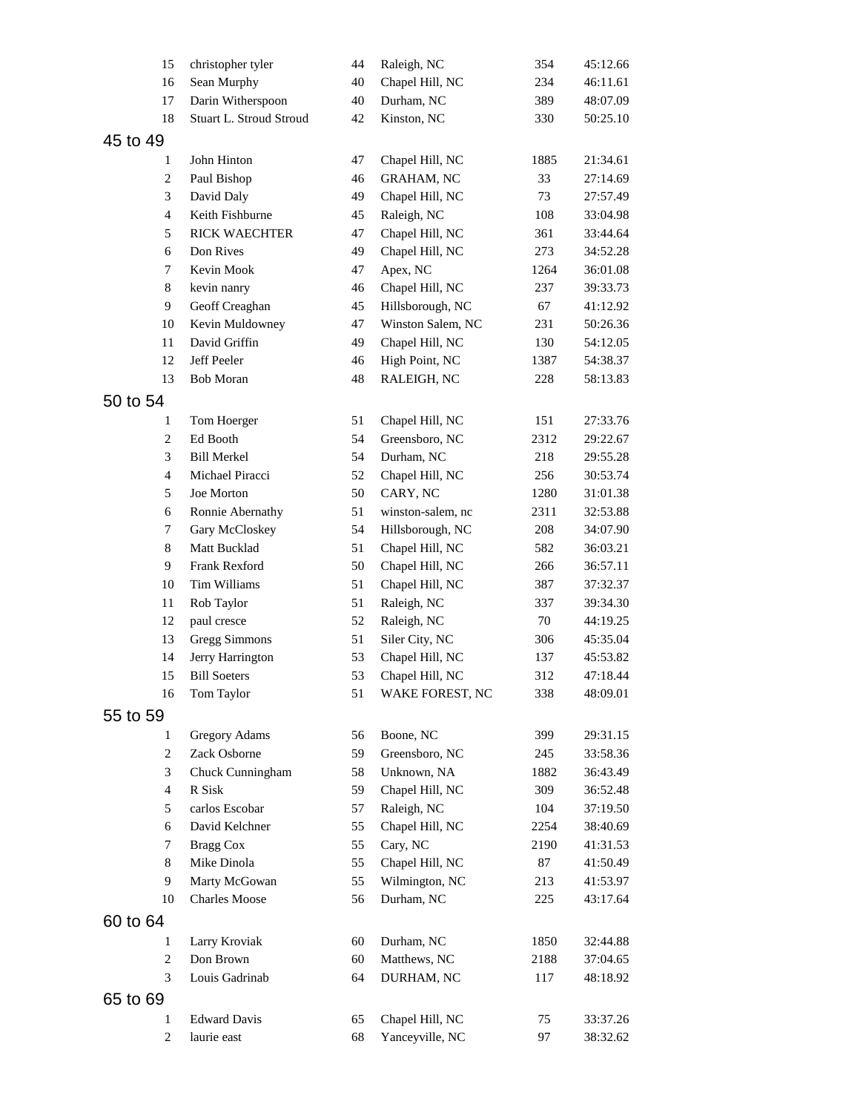| 15                  | christopher tyler             | 44       | Raleigh, NC       | 354         | 45:12.66             |
|---------------------|-------------------------------|----------|-------------------|-------------|----------------------|
| 16                  | Sean Murphy                   | 40       | Chapel Hill, NC   | 234         | 46:11.61             |
| 17                  | Darin Witherspoon             | 40       | Durham, NC        | 389         | 48:07.09             |
| 18                  | Stuart L. Stroud Stroud       | 42       | Kinston, NC       | 330         | 50:25.10             |
| 45 to 49            |                               |          |                   |             |                      |
| 1                   | John Hinton                   | 47       | Chapel Hill, NC   | 1885        | 21:34.61             |
| $\overline{c}$      | Paul Bishop                   | 46       | <b>GRAHAM, NC</b> | 33          | 27:14.69             |
| 3                   | David Daly                    | 49       | Chapel Hill, NC   | 73          | 27:57.49             |
| $\overline{4}$      | Keith Fishburne               | 45       | Raleigh, NC       | 108         | 33:04.98             |
| 5                   | <b>RICK WAECHTER</b>          | 47       | Chapel Hill, NC   | 361         | 33:44.64             |
| 6                   | Don Rives                     | 49       | Chapel Hill, NC   | 273         | 34:52.28             |
| $\tau$              | Kevin Mook                    | 47       | Apex, NC          | 1264        | 36:01.08             |
| $8\,$               |                               | 46       | Chapel Hill, NC   | 237         | 39:33.73             |
| 9                   | kevin nanry                   | 45       |                   |             |                      |
|                     | Geoff Creaghan                |          | Hillsborough, NC  | 67          | 41:12.92             |
| 10                  | Kevin Muldowney               | 47       | Winston Salem, NC | 231         | 50:26.36             |
| 11                  | David Griffin                 | 49       | Chapel Hill, NC   | 130         | 54:12.05             |
| 12                  | Jeff Peeler                   | 46       | High Point, NC    | 1387        | 54:38.37             |
| 13                  | <b>Bob Moran</b>              | 48       | RALEIGH, NC       | 228         | 58:13.83             |
| 50 to 54            |                               |          |                   |             |                      |
| 1                   | Tom Hoerger                   | 51       | Chapel Hill, NC   | 151         | 27:33.76             |
| $\overline{c}$      | Ed Booth                      | 54       | Greensboro, NC    | 2312        | 29:22.67             |
| 3                   | <b>Bill Merkel</b>            | 54       | Durham, NC        | 218         | 29:55.28             |
| $\overline{4}$      | Michael Piracci               | 52       | Chapel Hill, NC   | 256         | 30:53.74             |
| 5                   | Joe Morton                    | 50       | CARY, NC          | 1280        | 31:01.38             |
| 6                   | Ronnie Abernathy              | 51       | winston-salem, nc | 2311        | 32:53.88             |
| 7                   | Gary McCloskey                | 54       | Hillsborough, NC  | 208         | 34:07.90             |
| 8                   | Matt Bucklad                  | 51       | Chapel Hill, NC   | 582         | 36:03.21             |
| 9                   | Frank Rexford                 | 50       | Chapel Hill, NC   | 266         | 36:57.11             |
| 10                  | Tim Williams                  | 51       | Chapel Hill, NC   | 387         | 37:32.37             |
| 11                  | Rob Taylor                    | 51       | Raleigh, NC       | 337         | 39:34.30             |
| 12                  | paul cresce                   | 52       | Raleigh, NC       | 70          | 44:19.25             |
| 13                  | <b>Gregg Simmons</b>          | 51       | Siler City, NC    | 306         | 45:35.04             |
| 14                  | Jerry Harrington              | 53       | Chapel Hill, NC   | 137         | 45:53.82             |
| 15                  | <b>Bill Soeters</b>           | 53       | Chapel Hill, NC   | 312         | 47:18.44             |
| 16                  | Tom Taylor                    | 51       | WAKE FOREST, NC   | 338         | 48:09.01             |
| 55 to 59            |                               |          |                   |             |                      |
|                     |                               |          | Boone, NC         | 399         |                      |
| 1<br>$\overline{c}$ | Gregory Adams<br>Zack Osborne | 56<br>59 |                   |             | 29:31.15             |
| 3                   |                               |          | Greensboro, NC    | 245<br>1882 | 33:58.36<br>36:43.49 |
| $\overline{4}$      | Chuck Cunningham<br>R Sisk    | 58       | Unknown, NA       |             |                      |
|                     | carlos Escobar                | 59       | Chapel Hill, NC   | 309         | 36:52.48             |
| 5                   |                               | 57       | Raleigh, NC       | 104         | 37:19.50             |
| 6                   | David Kelchner                | 55       | Chapel Hill, NC   | 2254        | 38:40.69             |
| 7                   | <b>Bragg Cox</b>              | 55       | Cary, NC          | 2190        | 41:31.53             |
| 8                   | Mike Dinola                   | 55       | Chapel Hill, NC   | 87          | 41:50.49             |
| 9                   | Marty McGowan                 | 55       | Wilmington, NC    | 213         | 41:53.97             |
| 10                  | <b>Charles Moose</b>          | 56       | Durham, NC        | 225         | 43:17.64             |
| 60 to 64            |                               |          |                   |             |                      |
| 1                   | Larry Kroviak                 | 60       | Durham, NC        | 1850        | 32:44.88             |
| $\mathbf{2}$        | Don Brown                     | 60       | Matthews, NC      | 2188        | 37:04.65             |
| 3                   | Louis Gadrinab                | 64       | DURHAM, NC        | 117         | 48:18.92             |
| 65 to 69            |                               |          |                   |             |                      |
| 1                   | <b>Edward Davis</b>           | 65       | Chapel Hill, NC   | 75          | 33:37.26             |
| $\overline{c}$      | laurie east                   | 68       | Yanceyville, NC   | 97          | 38:32.62             |
|                     |                               |          |                   |             |                      |